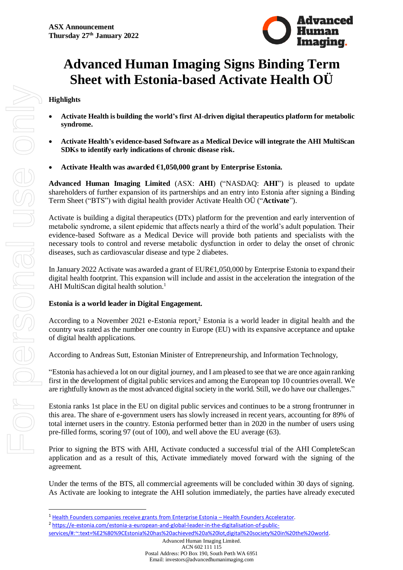

# **Advanced Human Imaging Signs Binding Term Sheet with Estonia-based Activate Health OÜ**

### **Highlights**

- **[Activate Health](https://activate.ee/) is building the world's first AI-driven digital therapeutics platform for metabolic syndrome.**
- **Activate Health's evidence-based Software as a Medical Device will integrate the AHI MultiScan SDKs to identify early indications of chronic disease risk.**
- **Activate Health was awarded €1,050,000 grant by Enterprise Estonia.**

**Advanced Human Imaging Limited** (ASX: **AHI**) ("NASDAQ: **AHI**") is pleased to update shareholders of further expansion of its partnerships and an entry into Estonia after signing a Binding Term Sheet ("BTS") with digital health provider Activate Health OÜ ("**Activate**").

[Activate i](https://activate.ee/)s building a digital therapeutics (DTx) platform for the prevention and early intervention of metabolic syndrome, a silent epidemic that affects nearly a third of the world's adult population. Their evidence-based Software as a Medical Device will provide both patients and specialists with the necessary tools to control and reverse metabolic dysfunction in order to delay the onset of chronic diseases, such as cardiovascular disease and type 2 diabetes.

In January 2022 Activate was awarded a grant of EUR€1,050,000 by Enterprise Estonia to expand their digital health footprint. This expansion will include and assist in the acceleration the integration of the AHI MultiScan digital health solution.<sup>1</sup>

## **Estonia is a world leader in Digital Engagement.**

According to a November 2021 e-Estonia report, <sup>2</sup> Estonia is a world leader in digital health and the country was rated as the number one country in Europe (EU) with its expansive acceptance and uptake of digital health applications.

According to Andreas Sutt, Estonian Minister of Entrepreneurship, and Information Technology,

"Estonia has achieved a lot on our digital journey, and I am pleased to see that we are once again ranking first in the development of digital public services and among the European top 10 countries overall. We are rightfully known as the most advanced digital society in the world. Still, we do have our challenges."

Estonia ranks 1st place in the EU on digital public services and continues to be a strong frontrunner in this area. The share of e-government users has slowly increased in recent years, accounting for 89% of total internet users in the country. Estonia performed better than in 2020 in the number of users using pre-filled forms, scoring 97 (out of 100), and well above the EU average (63).

Prior to signing the BTS with AHI, Activate conducted a successful trial of the AHI CompleteScan application and as a result of this, Activate immediately moved forward with the signing of the agreement.

Under the terms of the BTS, all commercial agreements will be concluded within 30 days of signing. As Activate are looking to integrate the AHI solution immediately, the parties have already executed

Postal Address: PO Box 190, South Perth WA 6951 Email: investors@advancedhumanimaging.com

<sup>&</sup>lt;sup>1</sup> [Health Founders companies receive grants from Enterprise Estonia](https://healthfounders.ee/health-founders-companies-receive-grants-from-enterprise-estonia/) - Health Founders Accelerator.

<sup>2</sup> [https://e-estonia.com/estonia-a-european-and-global-leader-in-the-digitalisation-of-public-](https://e-estonia.com/estonia-a-european-and-global-leader-in-the-digitalisation-of-public-services/#:~:text=%E2%80%9CEstonia%20has%20achieved%20a%20lot,digital%20society%20in%20the%20world)

[services/#:~:text=%E2%80%9CEstonia%20has%20achieved%20a%20lot,digital%20society%20in%20the%20world.](https://e-estonia.com/estonia-a-european-and-global-leader-in-the-digitalisation-of-public-services/#:~:text=%E2%80%9CEstonia%20has%20achieved%20a%20lot,digital%20society%20in%20the%20world)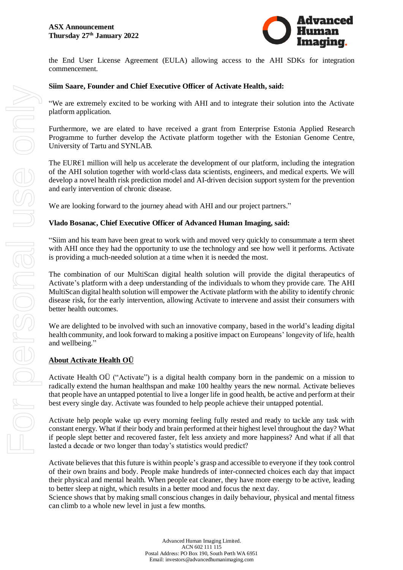

the End User License Agreement (EULA) allowing access to the AHI SDKs for integration commencement.

#### **Siim Saare, Founder and Chief Executive Officer of Activate Health, said:**

"We are extremely excited to be working with AHI and to integrate their solution into the Activate platform application.

Furthermore, we are elated to have received a grant from [Enterprise Estonia Applied Research](https://www.eas.ee/teenus/rakendusuuringuteprogramm/)  [Programme](https://www.eas.ee/teenus/rakendusuuringuteprogramm/) to further develop the Activate platform together with the Estonian Genome Centre, University of Tartu and SYNLAB.

The EUR€1 million will help us accelerate the development of our platform, including the integration of the AHI solution together with world-class data scientists, engineers, and medical experts. We will develop a novel health risk prediction model and AI-driven decision support system for the prevention and early intervention of chronic disease.

We are looking forward to the journey ahead with AHI and our project partners."

#### **Vlado Bosanac, Chief Executive Officer of Advanced Human Imaging, said:**

"Siim and his team have been great to work with and moved very quickly to consummate a term sheet with AHI once they had the opportunity to use the technology and see how well it performs. Activate is providing a much-needed solution at a time when it is needed the most.

The combination of our MultiScan digital health solution will provide the digital therapeutics of Activate's platform with a deep understanding of the individuals to whom they provide care. The AHI MultiScan digital health solution will empower the Activate platform with the ability to identify chronic disease risk, for the early intervention, allowing Activate to intervene and assist their consumers with better health outcomes.

We are delighted to be involved with such an innovative company, based in the world's leading digital health community, and look forward to making a positive impact on Europeans' longevity of life, health and wellbeing."

#### **About Activate Health OÜ**

Activate Health OÜ ("Activate") is a digital health company born in the pandemic on a mission to radically extend the human healthspan and make 100 healthy years the new normal. Activate believes that people have an untapped potential to live a longer life in good health, be active and perform at their best every single day. Activate was founded to help people achieve their untapped potential.

Activate help people wake up every morning feeling fully rested and ready to tackle any task with constant energy. What if their body and brain performed at their highest level throughout the day? What if people slept better and recovered faster, felt less anxiety and more happiness? And what if all that lasted a decade or two longer than today's statistics would predict?

Activate believes that this future is within people's grasp and accessible to everyone if they took control of their own brains and body. People make hundreds of inter-connected choices each day that impact their physical and mental health. When people eat cleaner, they have more energy to be active, leading to better sleep at night, which results in a better mood and focus the next day.

Science shows that by making small conscious changes in daily behaviour, physical and mental fitness can climb to a whole new level in just a few months.